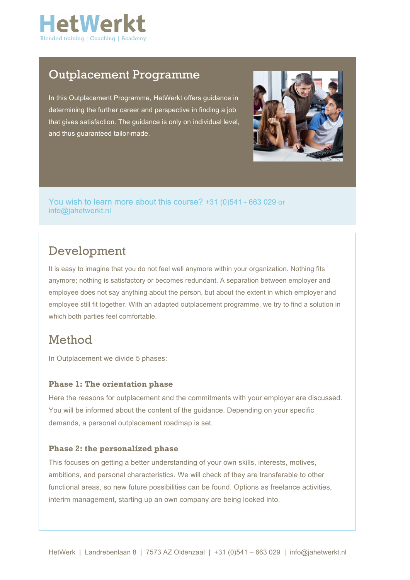

### Outplacement Programme

In this Outplacement Programme, HetWerkt offers guidance in determining the further career and perspective in finding a job that gives satisfaction. The guidance is only on individual level, and thus guaranteed tailor-made.



You wish to learn more about this course? +31 (0)541 - 663 029 or info@jahetwerkt.nl

# Development

It is easy to imagine that you do not feel well anymore within your organization. Nothing fits anymore; nothing is satisfactory or becomes redundant. A separation between employer and employee does not say anything about the person, but about the extent in which employer and employee still fit together. With an adapted outplacement programme, we try to find a solution in which both parties feel comfortable.

## Method

In Outplacement we divide 5 phases:

### **Phase 1: The orientation phase**

Here the reasons for outplacement and the commitments with your employer are discussed. You will be informed about the content of the guidance. Depending on your specific demands, a personal outplacement roadmap is set.

### **Phase 2: the personalized phase**

This focuses on getting a better understanding of your own skills, interests, motives, ambitions, and personal characteristics. We will check of they are transferable to other functional areas, so new future possibilities can be found. Options as freelance activities, interim management, starting up an own company are being looked into.